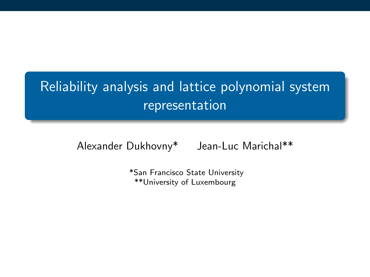# Reliability analysis and lattice polynomial system representation

Alexander Dukhovny\* Jean-Luc Marichal\*\*

\*San Francisco State University \*\*University of Luxembourg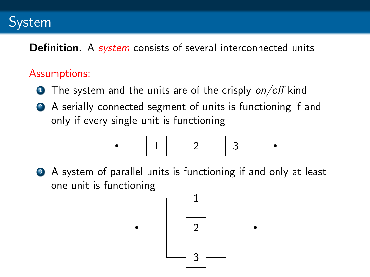## System

**Definition.** A *system* consists of several interconnected units

### Assumptions:

- $\bullet$  The system and the units are of the crisply on/off kind
- <sup>2</sup> A serially connected segment of units is functioning if and only if every single unit is functioning



<sup>3</sup> A system of parallel units is functioning if and only at least one unit is functioning

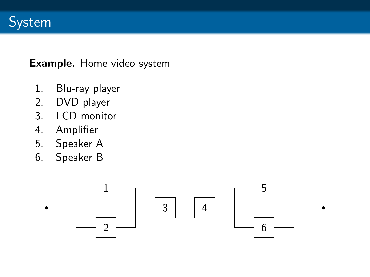

#### Example. Home video system

- 1. Blu-ray player
- 2. DVD player
- 3. LCD monitor
- 4. Amplifier
- 5. Speaker A
- 6. Speaker B

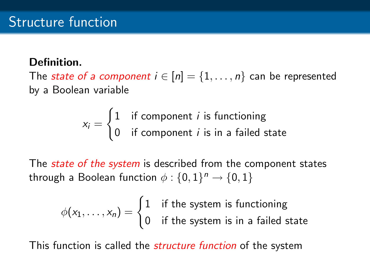### Definition.

The *state of a component*  $i \in [n] = \{1, \ldots, n\}$  can be represented by a Boolean variable

$$
x_i = \begin{cases} 1 & \text{if component } i \text{ is functioning} \\ 0 & \text{if component } i \text{ is in a failed state} \end{cases}
$$

The *state of the system* is described from the component states through a Boolean function  $\phi: \{0,1\}^n \rightarrow \{0,1\}$ 

$$
\phi(x_1, \dots, x_n) = \begin{cases} 1 & \text{if the system is functioning} \\ 0 & \text{if the system is in a failed state} \end{cases}
$$

This function is called the *structure function* of the system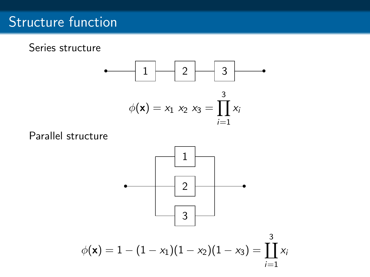## Structure function

Series structure



Parallel structure

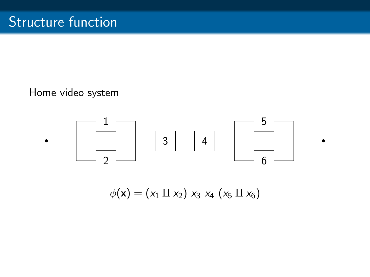### Home video system



 $\phi(\mathbf{x}) = (x_1 \amalg x_2) x_3 x_4 (x_5 \amalg x_6)$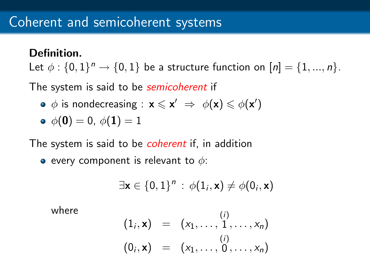### Definition.

Let  $\phi: \{0,1\}^n \rightarrow \{0,1\}$  be a structure function on  $[n] = \{1,...,n\}$ .

The system is said to be *semicoherent* if

 $\phi$  is nondecreasing :  $\mathbf{x} \leqslant \mathbf{x}' \Rightarrow \phi(\mathbf{x}) \leqslant \phi(\mathbf{x}')$ 

• 
$$
\phi(0) = 0, \ \phi(1) = 1
$$

The system is said to be *coherent* if, in addition

• every component is relevant to  $\phi$ :

$$
\exists \mathbf{x} \in \{0,1\}^n : \phi(1_i, \mathbf{x}) \neq \phi(0_i, \mathbf{x})
$$

where

$$
(1i, x) = (x1,..., 1, ..., xn)
$$
  
(0<sub>i</sub>, **x**) = (x<sub>1</sub>,..., 0, ..., x<sub>n</sub>)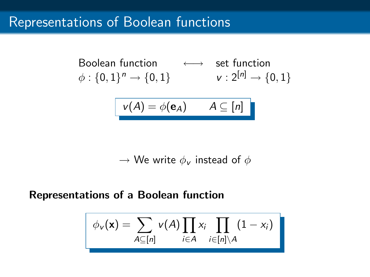## Representations of Boolean functions

Boolean function

\n
$$
\phi: \{0,1\}^n \to \{0,1\}
$$
\n
$$
\text{v}: 2^{[n]} \to \{0,1\}
$$

$$
v(A) = \phi(\mathbf{e}_A) \qquad A \subseteq [n]
$$

 $\rightarrow$  We write  $\phi_{\nu}$  instead of  $\phi$ 

#### Representations of a Boolean function

$$
\phi_{\mathsf{v}}(\mathbf{x}) = \sum_{A \subseteq [n]} \mathsf{v}(A) \prod_{i \in A} x_i \prod_{i \in [n] \setminus A} (1 - x_i)
$$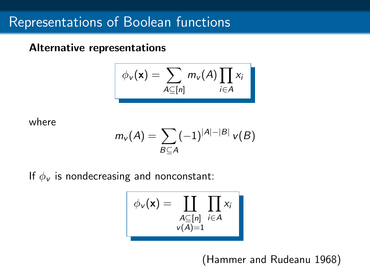#### Alternative representations

$$
\phi_{v}(\mathbf{x}) = \sum_{A \subseteq [n]} m_{v}(A) \prod_{i \in A} x_{i}
$$

where

$$
m_{\nu}(A)=\sum_{B\subseteq A}(-1)^{|A|-|B|}\,\nu(B)
$$

If  $\phi_{\mathbf{v}}$  is nondecreasing and nonconstant:

$$
\boxed{\phi_{\mathbf{v}}(\mathbf{x}) = \prod_{\substack{A \subseteq [n] \\ \mathbf{v}(A) = 1}} \prod_{i \in A} x_i}
$$

(Hammer and Rudeanu 1968)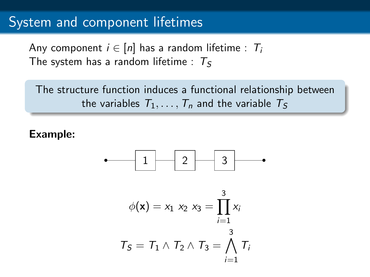### System and component lifetimes

Any component  $i \in [n]$  has a random lifetime :  $T_i$ The system has a random lifetime :  $T_s$ 

The structure function induces a functional relationship between the variables  $T_1, \ldots, T_n$  and the variable  $T_5$ 

### Example:



$$
\phi(\mathbf{x}) = x_1 \ x_2 \ x_3 = \prod_{i=1}^{3} x_i
$$

$$
T_S = T_1 \land T_2 \land T_3 = \bigwedge_{i=1}^{3} T_i
$$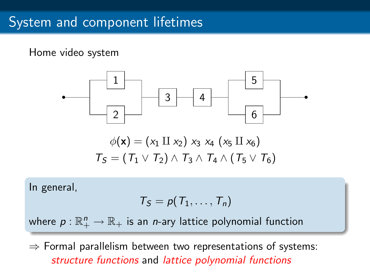## System and component lifetimes

### Home video system



In general,

$$
T_S = p(T_1, \ldots, T_n)
$$

where  $\rho:\mathbb{R}^n_+\to\mathbb{R}_+$  is an  $n$ -ary lattice polynomial function

 $\Rightarrow$  Formal parallelism between two representations of systems: structure functions and lattice polynomial functions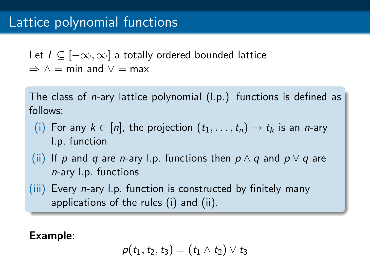## Lattice polynomial functions

Let  $L \subseteq [-\infty, \infty]$  a totally ordered bounded lattice  $\Rightarrow \wedge = \min$  and  $\vee = \max$ 

The class of n-ary lattice polynomial (l.p.) functions is defined as follows:

- (i) For any  $k \in [n]$ , the projection  $(t_1, \ldots, t_n) \mapsto t_k$  is an *n*-ary l.p. function
- (ii) If p and q are n-ary l.p. functions then  $p \wedge q$  and  $p \vee q$  are n-ary l.p. functions
- $(iii)$  Every *n*-ary l.p. function is constructed by finitely many applications of the rules (i) and (ii).

Example:

$$
p(t_1, t_2, t_3) = (t_1 \wedge t_2) \vee t_3
$$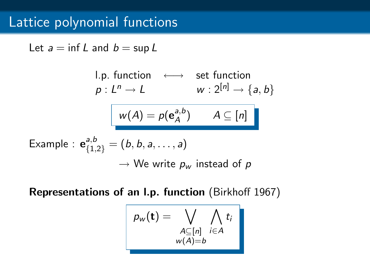## Lattice polynomial functions

Let  $a = \inf L$  and  $b = \sup L$ 

1.p. function

\n
$$
\leftarrow \quad \text{set function}
$$
\n
$$
p: L^{n} \to L \quad w: 2^{[n]} \to \{a, b\}
$$
\n
$$
w(A) = p(e_{A}^{a,b}) \quad A \subseteq [n]
$$
\nExample

\n
$$
e_{\{1,2\}}^{a,b} = (b, b, a, \ldots, a)
$$
\n
$$
\to \text{We write } p_{w} \text{ instead of } p
$$

Representations of an l.p. function (Birkhoff 1967)

$$
p_w(\mathbf{t}) = \bigvee_{\substack{A \subseteq [n] \\ w(A) = b}} \bigwedge_{i \in A} t_i
$$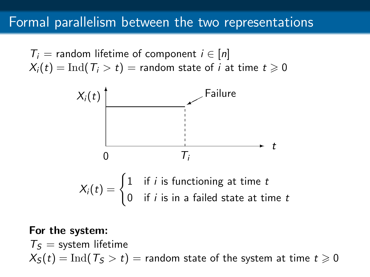## Formal parallelism between the two representations

 $T_i$  = random lifetime of component  $i \in [n]$  $X_i(t) = \text{Ind}(T_i > t) = \text{random state of } i \text{ at time } t \geq 0$ 



#### For the system:

 $T<sub>S</sub>$  = system lifetime  $X_{\mathcal{S}}(t) = \text{Ind}(T_{\mathcal{S}} > t) =$  random state of the system at time  $t \geq 0$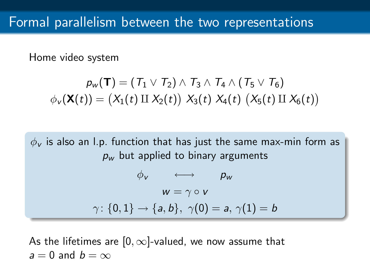Home video system

$$
p_w(\mathbf{T}) = (T_1 \vee T_2) \wedge T_3 \wedge T_4 \wedge (T_5 \vee T_6)
$$
  

$$
\phi_v(\mathbf{X}(t)) = (X_1(t) \amalg X_2(t)) \ X_3(t) \ X_4(t) \ (X_5(t) \amalg X_6(t))
$$

 $\phi_{\rm v}$  is also an l.p. function that has just the same max-min form as  $p_w$  but applied to binary arguments  $\phi_v \longleftrightarrow \phi_w$  $w = \gamma \circ v$  $\gamma$ : {0, 1}  $\rightarrow$  {a, b},  $\gamma(0) = a$ ,  $\gamma(1) = b$ 

As the lifetimes are  $[0, \infty]$ -valued, we now assume that  $a = 0$  and  $b = \infty$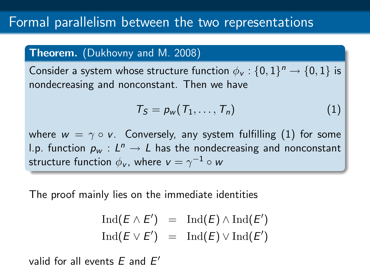#### **Theorem.** (Dukhovny and M. 2008)

Consider a system whose structure function  $\phi_{\mathsf{v}}: \{0,1\}^n \rightarrow \{0,1\}$  is nondecreasing and nonconstant. Then we have

<span id="page-15-0"></span>
$$
T_S = p_w(T_1, \ldots, T_n) \tag{1}
$$

where  $w = \gamma \circ v$ . Conversely, any system fulfilling [\(1\)](#page-15-0) for some l.p. function  $p_w:L^n\to L$  has the nondecreasing and nonconstant structure function  $\phi_{\mathsf{v}}$ , where  $\mathsf{v}=\gamma^{-1}\circ \mathsf{w}$ 

The proof mainly lies on the immediate identities

$$
\operatorname{Ind}(E \wedge E') = \operatorname{Ind}(E) \wedge \operatorname{Ind}(E')
$$
  

$$
\operatorname{Ind}(E \vee E') = \operatorname{Ind}(E) \vee \operatorname{Ind}(E')
$$

valid for all events  $E$  and  $E'$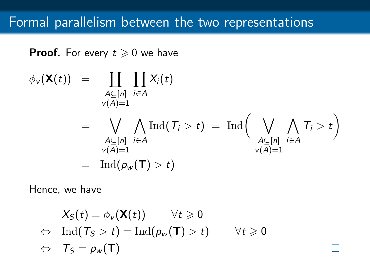**Proof.** For every  $t \ge 0$  we have

$$
\phi_{\nu}(\mathbf{X}(t)) = \prod_{\substack{A \subseteq [n] \\ \nu(A) = 1}} \prod_{i \in A} X_i(t)
$$
\n
$$
= \bigvee_{\substack{A \subseteq [n] \\ \nu(A) = 1}} \bigwedge_{i \in A} \text{Ind}(\mathcal{T}_i > t) = \text{Ind} \Big( \bigvee_{\substack{A \subseteq [n] \\ \nu(A) = 1}} \bigwedge_{i \in A} \mathcal{T}_i > t \Big)
$$
\n
$$
= \text{Ind}(p_{\nu}(\mathbf{T}) > t)
$$

Hence, we have

$$
X_{S}(t) = \phi_{v}(\mathbf{X}(t)) \quad \forall t \geq 0
$$
  
\n
$$
\Leftrightarrow \text{ Ind}(T_{S} > t) = \text{Ind}(p_{w}(\mathbf{T}) > t) \quad \forall t \geq 0
$$
  
\n
$$
\Leftrightarrow T_{S} = p_{w}(\mathbf{T})
$$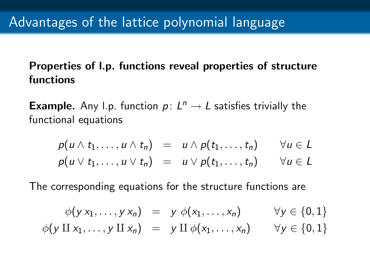### Properties of l.p. functions reveal properties of structure functions

**Example.** Any l.p. function  $p: L^n \to L$  satisfies trivially the functional equations

$$
p(u \wedge t_1, \ldots, u \wedge t_n) = u \wedge p(t_1, \ldots, t_n) \qquad \forall u \in L
$$
  

$$
p(u \vee t_1, \ldots, u \vee t_n) = u \vee p(t_1, \ldots, t_n) \qquad \forall u \in L
$$

The corresponding equations for the structure functions are

$$
\begin{array}{rcl}\n\phi(y x_1, \ldots, y x_n) & = & y \ \phi(x_1, \ldots, x_n) & \forall y \in \{0, 1\} \\
\phi(y \amalg x_1, \ldots, y \amalg x_n) & = & y \amalg \phi(x_1, \ldots, x_n) & \forall y \in \{0, 1\}\n\end{array}
$$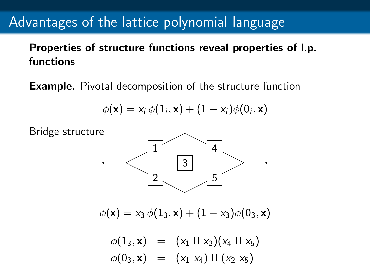## Advantages of the lattice polynomial language

Properties of structure functions reveal properties of l.p. functions

Example. Pivotal decomposition of the structure function

$$
\phi(\mathbf{x}) = x_i \phi(1_i, \mathbf{x}) + (1 - x_i) \phi(0_i, \mathbf{x})
$$

Bridge structure 2 1 3 5 4  $<\,$  $\diagup$ ✟✟ ✟✟ q ✟✟  $\geqslant$  $\overline{\phantom{0}}$  $\searrow$  $\phi(\mathbf{x}) = x_3 \phi(1_3, \mathbf{x}) + (1 - x_3) \phi(0_3, \mathbf{x})$  $\phi(1_3, \mathbf{x}) = (x_1 \amalg x_2)(x_4 \amalg x_5)$  $\phi(0_3, \mathbf{x}) = (x_1 \ x_4) \amalg (x_2 \ x_5)$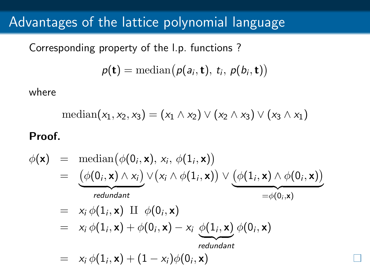## Advantages of the lattice polynomial language

Corresponding property of the l.p. functions ?

$$
\rho(\mathbf{t}) = \text{median}(\rho(a_i, \mathbf{t}), \ t_i, \ \rho(b_i, \mathbf{t}))
$$

where

$$
\mathrm{median}(x_1,x_2,x_3)=(x_1\wedge x_2)\vee(x_2\wedge x_3)\vee(x_3\wedge x_1)
$$

#### Proof.

$$
\begin{array}{rcl}\n\phi(\mathbf{x}) & = & \text{median}\left(\phi(0_i, \mathbf{x}), x_i, \phi(1_i, \mathbf{x})\right) \\
& = & \underbrace{\left(\phi(0_i, \mathbf{x}) \land x_i\right)}_{\text{redundant}} \vee \left(x_i \land \phi(1_i, \mathbf{x})\right) \vee \underbrace{\left(\phi(1_i, \mathbf{x}) \land \phi(0_i, \mathbf{x})\right)}_{= \phi(0_i, \mathbf{x})} \\
& = & x_i \phi(1_i, \mathbf{x}) \amalg \phi(0_i, \mathbf{x}) \\
& = & x_i \phi(1_i, \mathbf{x}) + \phi(0_i, \mathbf{x}) - x_i \underbrace{\phi(1_i, \mathbf{x})}_{\text{redundant}} \phi(0_i, \mathbf{x}) \\
& = & x_i \phi(1_i, \mathbf{x}) + (1 - x_i) \phi(0_i, \mathbf{x})\n\end{array}
$$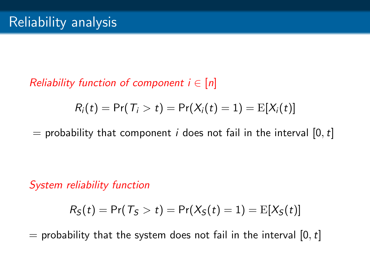### Reliability function of component  $i \in [n]$

$$
R_i(t) = \Pr(T_i > t) = \Pr(X_i(t) = 1) = \mathrm{E}[X_i(t)]
$$

 $=$  probability that component *i* does not fail in the interval [0, t]

System reliability function

$$
R_{\mathcal{S}}(t) = \Pr(T_{\mathcal{S}} > t) = \Pr(X_{\mathcal{S}}(t) = 1) = \text{E}[X_{\mathcal{S}}(t)]
$$

 $=$  probability that the system does not fail in the interval [0, t]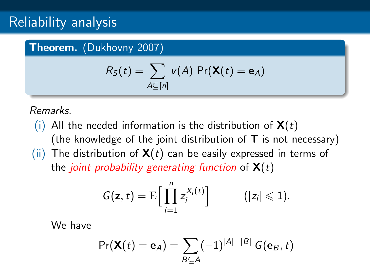## Reliability analysis

#### Theorem. (Dukhovny 2007)

$$
R_S(t) = \sum_{A \subseteq [n]} v(A) \Pr(\mathbf{X}(t) = \mathbf{e}_A)
$$

Remarks.

(i) All the needed information is the distribution of  $\mathbf{X}(t)$ (the knowledge of the joint distribution of  $T$  is not necessary) (ii) The distribution of  $\mathbf{X}(t)$  can be easily expressed in terms of the *joint probability generating function* of  $\mathbf{X}(t)$ 

$$
G(\mathbf{z},t)=\mathrm{E}\Big[\prod_{i=1}^n z_i^{X_i(t)}\Big]\qquad \quad (|z_i|\leqslant 1).
$$

We have

$$
Pr(\mathbf{X}(t) = \mathbf{e}_A) = \sum_{B \subseteq A} (-1)^{|A| - |B|} G(\mathbf{e}_B, t)
$$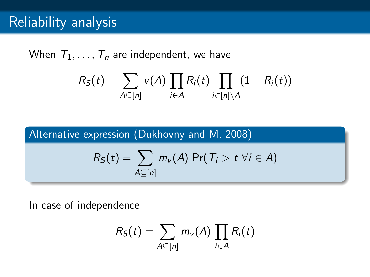## Reliability analysis

When  $T_1, \ldots, T_n$  are independent, we have

$$
R_S(t) = \sum_{A \subseteq [n]} v(A) \prod_{i \in A} R_i(t) \prod_{i \in [n] \setminus A} (1 - R_i(t))
$$

Alternative expression (Dukhovny and M. 2008)

$$
R_S(t) = \sum_{A \subseteq [n]} m_{v}(A) \Pr(T_i > t \; \forall i \in A)
$$

In case of independence

$$
R_S(t) = \sum_{A \subseteq [n]} m_{v}(A) \prod_{i \in A} R_i(t)
$$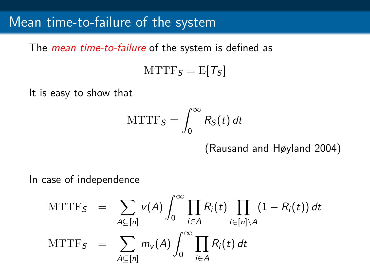### Mean time-to-failure of the system

The *mean time-to-failure* of the system is defined as

 $MTTF<sub>S</sub> = E[T<sub>S</sub>]$ 

It is easy to show that

$$
MTTF_{S}=\int_{0}^{\infty}R_{S}(t) dt
$$

(Rausand and Høyland 2004)

In case of independence

$$
\begin{array}{rcl}\n\text{MTTF}_{S} & = & \sum_{A \subseteq [n]} \nu(A) \int_{0}^{\infty} \prod_{i \in A} R_{i}(t) \prod_{i \in [n] \setminus A} (1 - R_{i}(t)) \, dt \\
\text{MTTF}_{S} & = & \sum_{A \subseteq [n]} m_{v}(A) \int_{0}^{\infty} \prod_{i \in A} R_{i}(t) \, dt\n\end{array}
$$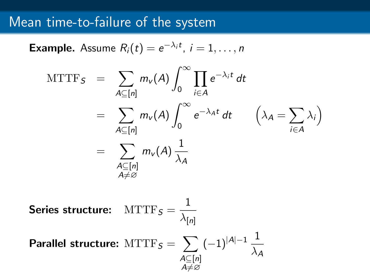## Mean time-to-failure of the system

**Example.** Assume  $R_i(t) = e^{-\lambda_i t}$ ,  $i = 1, ..., n$ 

$$
\begin{aligned}\n\text{MTTF}_{S} &= \sum_{A \subseteq [n]} m_{v}(A) \int_{0}^{\infty} \prod_{i \in A} e^{-\lambda_{i}t} \, dt \\
&= \sum_{A \subseteq [n]} m_{v}(A) \int_{0}^{\infty} e^{-\lambda_{A}t} \, dt \qquad \left(\lambda_{A} = \sum_{i \in A} \lambda_{i}\right) \\
&= \sum_{\substack{A \subseteq [n] \\ A \neq \varnothing}} m_{v}(A) \frac{1}{\lambda_{A}}\n\end{aligned}
$$

Series structure: 
$$
MTTF_S = \frac{1}{\lambda_{[n]}}
$$
  
Parallel structure:  $MTTF_S = \sum_{\substack{A \subseteq [n] \\ A \neq \varnothing}} (-1)^{|A|-1} \frac{1}{\lambda_A}$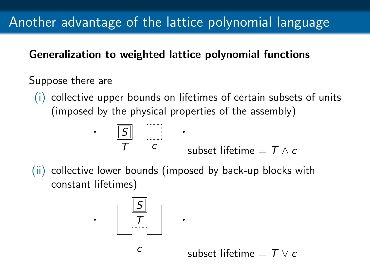# Another advantage of the lattice polynomial language

### Generalization to weighted lattice polynomial functions

### Suppose there are

(i) collective upper bounds on lifetimes of certain subsets of units (imposed by the physical properties of the assembly)

$$
\begin{array}{c|c}\n\hline\n\overline{S} & \overline{S} \\
\hline\nT & c & \text{subset lifetime} = T \wedge c\n\end{array}
$$

(ii) collective lower bounds (imposed by back-up blocks with constant lifetimes)



subset lifetime  $= T \vee c$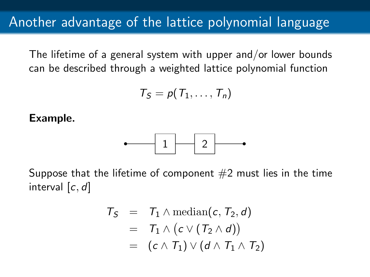The lifetime of a general system with upper and/or lower bounds can be described through a weighted lattice polynomial function

$$
T_S = p(T_1, \ldots, T_n)
$$

Example.



Suppose that the lifetime of component  $#2$  must lies in the time interval  $[c, d]$ 

$$
T_S = T_1 \wedge \text{median}(c, T_2, d)
$$
  
=  $T_1 \wedge (c \vee (T_2 \wedge d))$   
=  $(c \wedge T_1) \vee (d \wedge T_1 \wedge T_2)$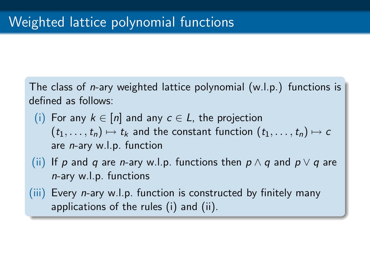The class of n-ary weighted lattice polynomial (w.l.p.) functions is defined as follows:

- (i) For any  $k \in [n]$  and any  $c \in L$ , the projection  $(t_1, \ldots, t_n) \mapsto t_k$  and the constant function  $(t_1, \ldots, t_n) \mapsto c$ are n-ary w.l.p. function
- (ii) If p and q are n-ary w.l.p. functions then  $p \wedge q$  and  $p \vee q$  are n-ary w.l.p. functions
- $(iii)$  Every *n*-ary w.l.p. function is constructed by finitely many applications of the rules (i) and (ii).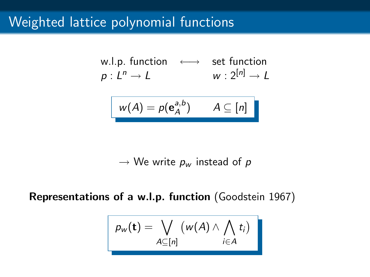## Weighted lattice polynomial functions

$$
\begin{array}{ll}\n\text{w.l.p. function} & \longleftrightarrow & \text{set function} \\
p: L^n \to L & \text{w}: 2^{[n]} \to L\n\end{array}
$$

$$
w(A) = p(e^{a,b}_A) \qquad A \subseteq [n]
$$

 $\rightarrow$  We write  $p_w$  instead of  $p$ 

Representations of a w.l.p. function (Goodstein 1967)

$$
p_w(\mathbf{t}) = \bigvee_{A \subseteq [n]} (w(A) \wedge \bigwedge_{i \in A} t_i)
$$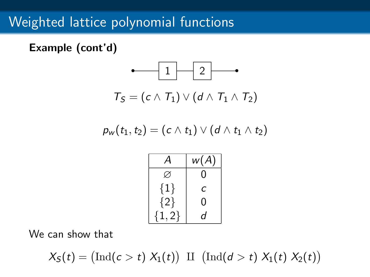## Weighted lattice polynomial functions

Example (cont'd)



$$
\rho_{\sf w}(t_1,t_2)=(c\wedge t_1)\vee (d\wedge t_1\wedge t_2)
$$

| Α        | w(A) |
|----------|------|
| Ø        | 0    |
| $\{1\}$  | с    |
| ${2}$    | 0    |
| ${1, 2}$ | d    |

We can show that

 $X_{\mathcal{S}}(t) = (\text{Ind}(c > t) X_1(t)) \amalg (\text{Ind}(d > t) X_1(t) X_2(t))$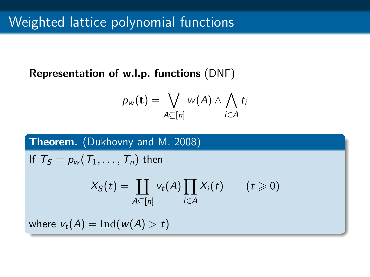### Representation of w.l.p. functions (DNF)

$$
p_w(\mathbf{t}) = \bigvee_{A \subseteq [n]} w(A) \wedge \bigwedge_{i \in A} t_i
$$

### Theorem. (Dukhovny and M. 2008)

If  $T_S = p_w(T_1, \ldots, T_n)$  then

$$
X_{S}(t) = \coprod_{A \subseteq [n]} v_t(A) \prod_{i \in A} X_i(t) \qquad (t \geq 0)
$$

where  $v_t(A) = \text{Ind}(w(A) > t)$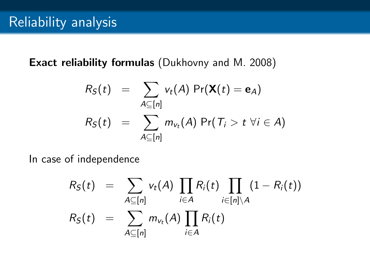### Exact reliability formulas (Dukhovny and M. 2008)

$$
R_S(t) = \sum_{A \subseteq [n]} v_t(A) \Pr(\mathbf{X}(t) = \mathbf{e}_A)
$$
  

$$
R_S(t) = \sum_{A \subseteq [n]} m_{v_t}(A) \Pr(T_i > t \ \forall i \in A)
$$

In case of independence

$$
R_S(t) = \sum_{A \subseteq [n]} v_t(A) \prod_{i \in A} R_i(t) \prod_{i \in [n] \setminus A} (1 - R_i(t))
$$
  

$$
R_S(t) = \sum_{A \subseteq [n]} m_{v_t}(A) \prod_{i \in A} R_i(t)
$$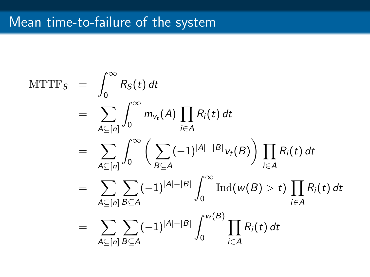## Mean time-to-failure of the system

$$
\begin{split}\n&\text{MTTF}_{S} = \int_{0}^{\infty} R_{S}(t) dt \\
&= \sum_{A \subseteq [n]} \int_{0}^{\infty} m_{v_{t}}(A) \prod_{i \in A} R_{i}(t) dt \\
&= \sum_{A \subseteq [n]} \int_{0}^{\infty} \left( \sum_{B \subseteq A} (-1)^{|A| - |B|} v_{t}(B) \right) \prod_{i \in A} R_{i}(t) dt \\
&= \sum_{A \subseteq [n]} \sum_{B \subseteq A} (-1)^{|A| - |B|} \int_{0}^{\infty} \text{Ind}(w(B) > t) \prod_{i \in A} R_{i}(t) dt \\
&= \sum_{A \subseteq [n]} \sum_{B \subseteq A} (-1)^{|A| - |B|} \int_{0}^{w(B)} \prod_{i \in A} R_{i}(t) dt\n\end{split}
$$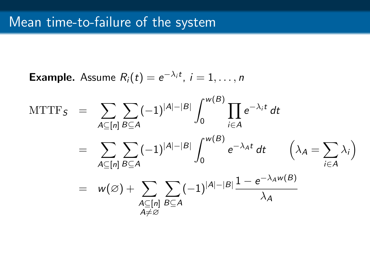**Example.** Assume  $R_i(t) = e^{-\lambda_i t}$ ,  $i = 1, \ldots, n$ 

$$
\begin{array}{lcl} \mathrm{MTTF}_{\mathcal{S}} & = & \displaystyle \sum_{A \subseteq [n]} \sum_{B \subseteq A} (-1)^{|A| - |B|} \int_0^{w(B)} \prod_{i \in A} e^{-\lambda_i t} \, dt \\ \\ & = & \displaystyle \sum_{A \subseteq [n]} \sum_{B \subseteq A} (-1)^{|A| - |B|} \int_0^{w(B)} e^{-\lambda_A t} \, dt \qquad \Big( \lambda_A = \sum_{i \in A} \lambda_i \Big) \\ \\ & = & w(\varnothing) + \sum_{\substack{A \subseteq [n] \\ A \neq \varnothing}} \sum_{B \subseteq A} (-1)^{|A| - |B|} \frac{1 - e^{-\lambda_A w(B)}}{\lambda_A} \end{array}
$$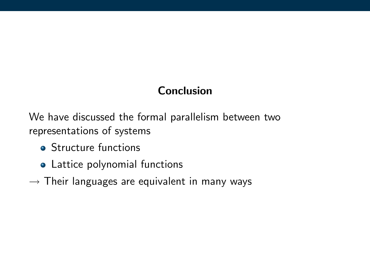### Conclusion

We have discussed the formal parallelism between two representations of systems

- **•** Structure functions
- Lattice polynomial functions
- $\rightarrow$  Their languages are equivalent in many ways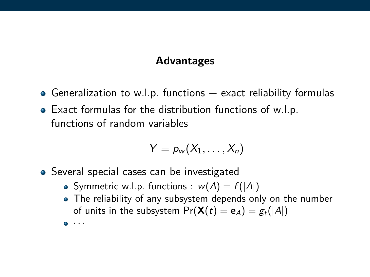### Advantages

- Generalization to w.l.p. functions  $+$  exact reliability formulas
- Exact formulas for the distribution functions of w.l.p. functions of random variables

$$
Y=p_w(X_1,\ldots,X_n)
$$

- Several special cases can be investigated
	- Symmetric w.l.p. functions :  $w(A) = f(|A|)$
	- The reliability of any subsystem depends only on the number of units in the subsystem  $Pr(\mathbf{X}(t) = \mathbf{e}_A) = g_t(|A|)$

· · ·